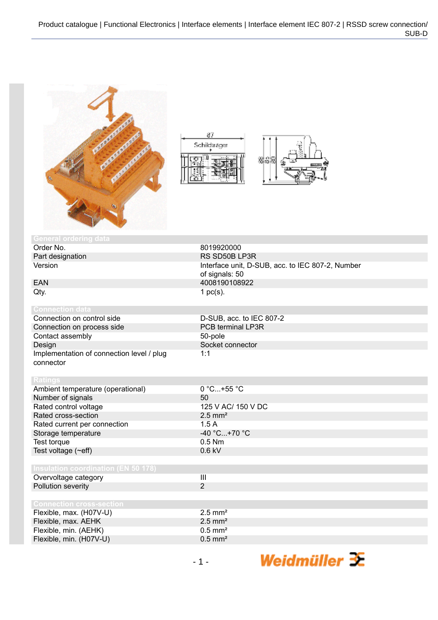





Weidmüller 3E

| <b>General ordering data</b>                           |                                                                    |
|--------------------------------------------------------|--------------------------------------------------------------------|
| Order No.                                              | 8019920000                                                         |
| Part designation                                       | RS SD50B LP3R                                                      |
| Version                                                | Interface unit, D-SUB, acc. to IEC 807-2, Number<br>of signals: 50 |
| <b>EAN</b>                                             | 4008190108922                                                      |
| Qty.                                                   | 1 $pc(s)$ .                                                        |
| <b>Connection data</b>                                 |                                                                    |
| Connection on control side                             | D-SUB, acc. to IEC 807-2                                           |
| Connection on process side                             | PCB terminal LP3R                                                  |
| Contact assembly                                       | 50-pole                                                            |
| Design                                                 | Socket connector                                                   |
| Implementation of connection level / plug<br>connector | 1:1                                                                |
| <b>Ratings</b>                                         |                                                                    |
| Ambient temperature (operational)                      | 0 °C+55 °C                                                         |
| Number of signals                                      | 50                                                                 |
| Rated control voltage                                  | 125 V AC/ 150 V DC                                                 |
| Rated cross-section                                    | $2.5$ mm <sup>2</sup>                                              |
| Rated current per connection                           | 1.5A                                                               |
| Storage temperature                                    | -40 °C+70 °C                                                       |
| Test torque                                            | $0.5$ Nm                                                           |
| Test voltage (~eff)                                    | $0.6$ kV                                                           |
|                                                        |                                                                    |
| <b>Insulation coordination (EN 50 178)</b>             |                                                                    |
| Overvoltage category                                   | III                                                                |
| Pollution severity                                     | $\overline{2}$                                                     |
|                                                        |                                                                    |
| <b>Connection cross-section</b>                        |                                                                    |
| Flexible, max. (H07V-U)                                | $2.5$ mm <sup>2</sup>                                              |
| Flexible, max. AEHK                                    | $2.5$ mm <sup>2</sup>                                              |
| Flexible, min. (AEHK)                                  | $0.5$ mm <sup>2</sup>                                              |
| Flexible, min. (H07V-U)                                | $0.5$ mm <sup>2</sup>                                              |